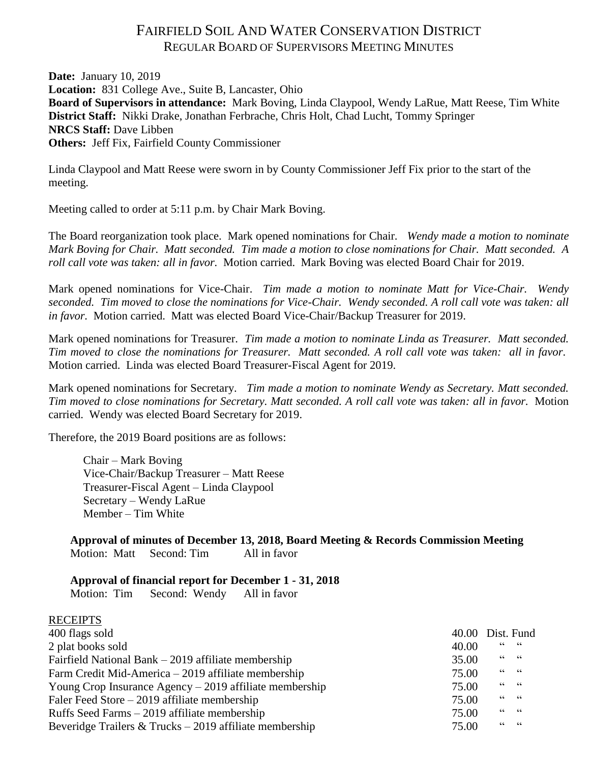# FAIRFIELD SOIL AND WATER CONSERVATION DISTRICT REGULAR BOARD OF SUPERVISORS MEETING MINUTES

**Date:** January 10, 2019 **Location:** 831 College Ave., Suite B, Lancaster, Ohio **Board of Supervisors in attendance:** Mark Boving, Linda Claypool, Wendy LaRue, Matt Reese, Tim White **District Staff:** Nikki Drake, Jonathan Ferbrache, Chris Holt, Chad Lucht, Tommy Springer **NRCS Staff:** Dave Libben **Others:** Jeff Fix, Fairfield County Commissioner

Linda Claypool and Matt Reese were sworn in by County Commissioner Jeff Fix prior to the start of the meeting.

Meeting called to order at 5:11 p.m. by Chair Mark Boving.

The Board reorganization took place. Mark opened nominations for Chair. *Wendy made a motion to nominate Mark Boving for Chair. Matt seconded. Tim made a motion to close nominations for Chair. Matt seconded. A roll call vote was taken: all in favor.* Motion carried. Mark Boving was elected Board Chair for 2019.

Mark opened nominations for Vice-Chair. *Tim made a motion to nominate Matt for Vice-Chair. Wendy seconded. Tim moved to close the nominations for Vice-Chair. Wendy seconded. A roll call vote was taken: all in favor.* Motion carried. Matt was elected Board Vice-Chair/Backup Treasurer for 2019.

Mark opened nominations for Treasurer. *Tim made a motion to nominate Linda as Treasurer. Matt seconded. Tim moved to close the nominations for Treasurer. Matt seconded. A roll call vote was taken: all in favor.* Motion carried. Linda was elected Board Treasurer-Fiscal Agent for 2019.

Mark opened nominations for Secretary. *Tim made a motion to nominate Wendy as Secretary. Matt seconded. Tim moved to close nominations for Secretary. Matt seconded. A roll call vote was taken: all in favor.* Motion carried. Wendy was elected Board Secretary for 2019.

Therefore, the 2019 Board positions are as follows:

Chair – Mark Boving Vice-Chair/Backup Treasurer – Matt Reese Treasurer-Fiscal Agent – Linda Claypool Secretary – Wendy LaRue Member – Tim White

**Approval of minutes of December 13, 2018, Board Meeting & Records Commission Meeting** Motion: Matt Second: Tim All in favor

## **Approval of financial report for December 1 - 31, 2018**

Motion: Tim Second: Wendy All in favor

| <b>RECEIPTS</b>                                           |                  |           |
|-----------------------------------------------------------|------------------|-----------|
| 400 flags sold                                            | 40.00 Dist. Fund |           |
| 2 plat books sold                                         | 40.00            | $66666$   |
| Fairfield National Bank $-2019$ affiliate membership      | 35.00            | $66$ $66$ |
| Farm Credit Mid-America – 2019 affiliate membership       | 75.00            | $66 - 66$ |
| Young Crop Insurance Agency $-2019$ affiliate membership  | 75.00            | $66 - 66$ |
| Faler Feed Store $-2019$ affiliate membership             | 75.00            | $66$ $66$ |
| Ruffs Seed Farms – 2019 affiliate membership              | 75.00            | $66 - 66$ |
| Beveridge Trailers $&$ Trucks – 2019 affiliate membership | 75.00            | $66 - 66$ |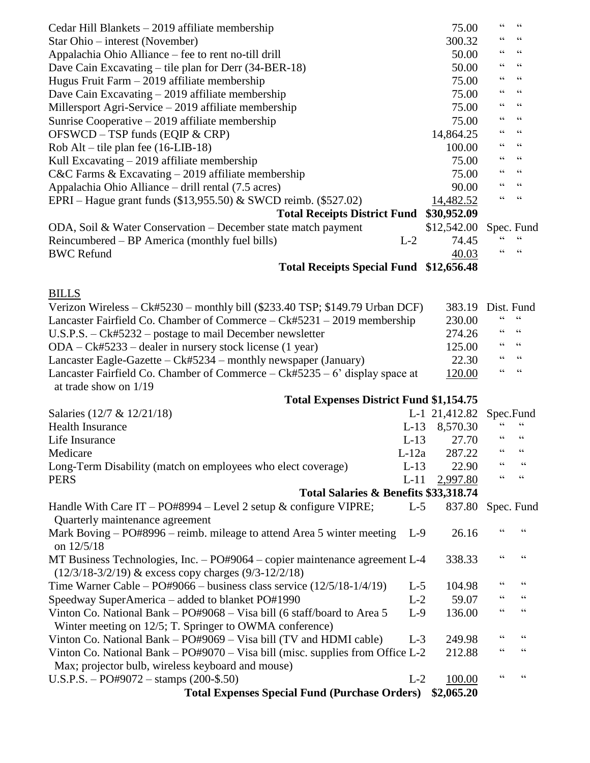| Cedar Hill Blankets $-2019$ affiliate membership                                                                                        |         | 75.00         | 66                                | $\,$ 6 6 $\,$                              |
|-----------------------------------------------------------------------------------------------------------------------------------------|---------|---------------|-----------------------------------|--------------------------------------------|
| Star Ohio – interest (November)                                                                                                         |         | 300.32        | $\,$ 6 6 $\,$                     | 66                                         |
| Appalachia Ohio Alliance – fee to rent no-till drill                                                                                    |         | 50.00         | 66                                | $\mbox{\bf G}$                             |
| Dave Cain Excavating – tile plan for Derr $(34-BER-18)$                                                                                 |         | 50.00         | $\textsf{G}\,\textsf{G}$          | $\,$ 6 6 $\,$                              |
| Hugus Fruit Farm $-2019$ affiliate membership                                                                                           |         | 75.00         | $\,$ 6 6 $\,$                     | $\,$ 6 6 $\,$                              |
| Dave Cain Excavating $-2019$ affiliate membership                                                                                       |         | 75.00         | 66                                | 66                                         |
| Millersport Agri-Service $-2019$ affiliate membership                                                                                   |         | 75.00         | 66                                | $\,$ 6 6 $\,$                              |
| Sunrise Cooperative $-2019$ affiliate membership                                                                                        |         | 75.00         | $\textsf{G}\,\textsf{G}$          | 66                                         |
| OFSWCD - TSP funds (EQIP & CRP)                                                                                                         |         | 14,864.25     | 66                                | 66                                         |
| Rob Alt – tile plan fee $(16-LIB-18)$                                                                                                   |         | 100.00        | 66                                | $\textsf{G}\,\textsf{G}$                   |
| Kull Excavating $-2019$ affiliate membership                                                                                            |         | 75.00         | 66                                | $\,$ 6 6 $\,$                              |
| $C&C$ Farms & Excavating $-$ 2019 affiliate membership                                                                                  |         | 75.00         | 66                                | $\,$ 6 6 $\,$                              |
| Appalachia Ohio Alliance – drill rental (7.5 acres)                                                                                     |         | 90.00         | 66                                | $\textsf{G}\,\textsf{G}$                   |
| EPRI – Hague grant funds $(\$13,955.50)$ & SWCD reimb. $(\$527.02)$                                                                     |         | 14,482.52     | $\zeta$ $\zeta$                   | $\textsf{G}\,\textsf{G}$                   |
| <b>Total Receipts District Fund</b>                                                                                                     |         | \$30,952.09   |                                   |                                            |
| ODA, Soil & Water Conservation – December state match payment                                                                           |         | \$12,542.00   |                                   | Spec. Fund                                 |
| Reincumbered – BP America (monthly fuel bills)                                                                                          | $L-2$   | 74.45         |                                   | $\!\!\!\zeta\,\zeta\!\!\!\zeta\!\!\!\zeta$ |
| <b>BWC Refund</b>                                                                                                                       |         | 40.03         | $\!\!\!\zeta\,\zeta\!\!\!\zeta\!$ | $\zeta$ $\zeta$                            |
| Total Receipts Special Fund \$12,656.48                                                                                                 |         |               |                                   |                                            |
| <b>BILLS</b>                                                                                                                            |         |               |                                   |                                            |
| Verizon Wireless – Ck#5230 – monthly bill (\$233.40 TSP; \$149.79 Urban DCF)                                                            |         | 383.19        | Dist. Fund                        |                                            |
| Lancaster Fairfield Co. Chamber of Commerce – Ck#5231 – 2019 membership                                                                 |         | 230.00        | 66                                | $\mbox{\bf G}$                             |
| $U.S.P.S. - Ck \# 5232 - postage to mail December newsletter$                                                                           |         | 274.26        | 66                                | 66                                         |
| $ODA - Ck#5233$ – dealer in nursery stock license (1 year)                                                                              |         | 125.00        | 66                                | $\textsf{G}\,\textsf{G}$                   |
| Lancaster Eagle-Gazette – Ck#5234 – monthly newspaper (January)                                                                         |         | 22.30         | 66                                | 66                                         |
| Lancaster Fairfield Co. Chamber of Commerce $-Ck#5235-6'$ display space at<br>at trade show on $1/19$                                   |         | 120.00        | $\zeta$ $\zeta$                   | 66                                         |
| <b>Total Expenses District Fund \$1,154.75</b>                                                                                          |         |               |                                   |                                            |
| Salaries (12/7 & 12/21/18)                                                                                                              |         | L-1 21,412.82 |                                   | Spec.Fund                                  |
| <b>Health Insurance</b>                                                                                                                 | $L-13$  | 8,570.30      |                                   | $\!\!\!\zeta\,\zeta\!\!\!\zeta\!\!\!\zeta$ |
| Life Insurance                                                                                                                          | $L-13$  | 27.70         | 66                                | $\zeta$ $\zeta$                            |
| Medicare                                                                                                                                | $L-12a$ | 287.22        | 66                                | 66                                         |
| Long-Term Disability (match on employees who elect coverage)                                                                            | $L-13$  | 22.90         | 66                                | $\textsf{G}\,\textsf{G}$                   |
| <b>PERS</b>                                                                                                                             | $L-11$  | 2,997.80      | $\!\!\!\zeta\,\zeta\!\!\!\zeta\!$ | $\mbox{\bf G}$                             |
| Total Salaries & Benefits \$33,318.74                                                                                                   |         |               |                                   |                                            |
| Handle With Care IT - PO#8994 - Level 2 setup $\&$ configure VIPRE;                                                                     | $L-5$   | 837.80        |                                   | Spec. Fund                                 |
| Quarterly maintenance agreement                                                                                                         |         |               |                                   |                                            |
| Mark Boving - PO#8996 - reimb. mileage to attend Area 5 winter meeting<br>on $12/5/18$                                                  | $L-9$   | 26.16         | 66                                | $\epsilon$                                 |
| MT Business Technologies, Inc. - PO#9064 - copier maintenance agreement L-4<br>$(12/3/18-3/2/19)$ & excess copy charges $(9/3-12/2/18)$ |         | 338.33        | 66                                | $\textsf{G}\,\textsf{G}$                   |
| Time Warner Cable – $PO#9066$ – business class service $(12/5/18-1/4/19)$                                                               | $L-5$   | 104.98        | $\epsilon$                        | $\zeta\,\zeta$                             |
| Speedway SuperAmerica – added to blanket PO#1990                                                                                        | $L-2$   | 59.07         | $\epsilon$                        | $\textsf{G}\,\textsf{G}$                   |
| Vinton Co. National Bank – PO#9068 – Visa bill (6 staff/board to Area 5<br>Winter meeting on 12/5; T. Springer to OWMA conference)      | $L-9$   | 136.00        | $\epsilon$                        | $\textsf{G}\,\textsf{G}$                   |
| Vinton Co. National Bank - PO#9069 - Visa bill (TV and HDMI cable)                                                                      | $L-3$   | 249.98        | 66                                | $\textsf{G}\,\textsf{G}$                   |
| Vinton Co. National Bank – $PO#9070 - V$ is bill (misc. supplies from Office L-2                                                        |         | 212.88        | $\epsilon$                        | $\textsf{G}\,\textsf{G}$                   |
| Max; projector bulb, wireless keyboard and mouse)                                                                                       |         |               |                                   |                                            |
| U.S.P.S. - PO#9072 - stamps $(200 - 5.50)$                                                                                              | $L-2$   | 100.00        | 66                                | $\textsf{G}\,\textsf{G}$                   |
| <b>Total Expenses Special Fund (Purchase Orders)</b>                                                                                    |         | \$2,065.20    |                                   |                                            |
|                                                                                                                                         |         |               |                                   |                                            |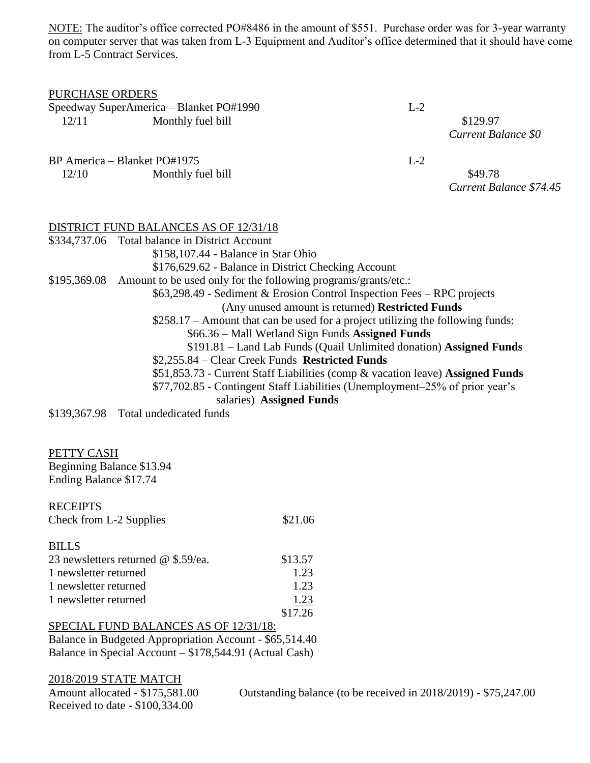NOTE: The auditor's office corrected PO#8486 in the amount of \$551. Purchase order was for 3-year warranty on computer server that was taken from L-3 Equipment and Auditor's office determined that it should have come from L-5 Contract Services.

| <b>PURCHASE ORDERS</b><br>12/11                                                  | Speedway SuperAmerica - Blanket PO#1990<br>Monthly fuel bill | $L-2$ | \$129.97<br>Current Balance \$0    |
|----------------------------------------------------------------------------------|--------------------------------------------------------------|-------|------------------------------------|
| BP America – Blanket PO#1975                                                     |                                                              | $L-2$ |                                    |
| 12/10                                                                            | Monthly fuel bill                                            |       | \$49.78<br>Current Balance \$74.45 |
|                                                                                  | DISTRICT FUND BALANCES AS OF 12/31/18                        |       |                                    |
| \$334,737.06 Total balance in District Account                                   |                                                              |       |                                    |
| \$158,107.44 - Balance in Star Ohio                                              |                                                              |       |                                    |
| \$176,629.62 - Balance in District Checking Account                              |                                                              |       |                                    |
| Amount to be used only for the following programs/grants/etc.:<br>\$195,369.08   |                                                              |       |                                    |
| \$63,298.49 - Sediment & Erosion Control Inspection Fees – RPC projects          |                                                              |       |                                    |
| (Any unused amount is returned) Restricted Funds                                 |                                                              |       |                                    |
| $$258.17 -$ Amount that can be used for a project utilizing the following funds: |                                                              |       |                                    |
| \$66.36 – Mall Wetland Sign Funds Assigned Funds                                 |                                                              |       |                                    |
| \$191.81 - Land Lab Funds (Quail Unlimited donation) Assigned Funds              |                                                              |       |                                    |
|                                                                                  | \$2,255.84 – Clear Creek Funds Restricted Funds              |       |                                    |
| \$51,853.73 - Current Staff Liabilities (comp & vacation leave) Assigned Funds   |                                                              |       |                                    |
| \$77,702.85 - Contingent Staff Liabilities (Unemployment-25% of prior year's     |                                                              |       |                                    |
|                                                                                  | salaries) Assigned Funds                                     |       |                                    |

\$139,367.98 Total undedicated funds

PETTY CASH Beginning Balance \$13.94 Ending Balance \$17.74

| <b>RECEIPTS</b>         |         |
|-------------------------|---------|
| Check from L-2 Supplies | \$21.06 |

| \$13.57 |
|---------|
| 1.23    |
| 1.23    |
| 1.23    |
| \$17.26 |
|         |

| SPECIAL FUND BALANCES AS OF 12/31/18:                   |
|---------------------------------------------------------|
| Balance in Budgeted Appropriation Account - \$65,514.40 |
| Balance in Special Account – \$178,544.91 (Actual Cash) |

2018/2019 STATE MATCH<br>Amount allocated - \$175,581.00 Received to date - \$100,334.00

Outstanding balance (to be received in 2018/2019) - \$75,247.00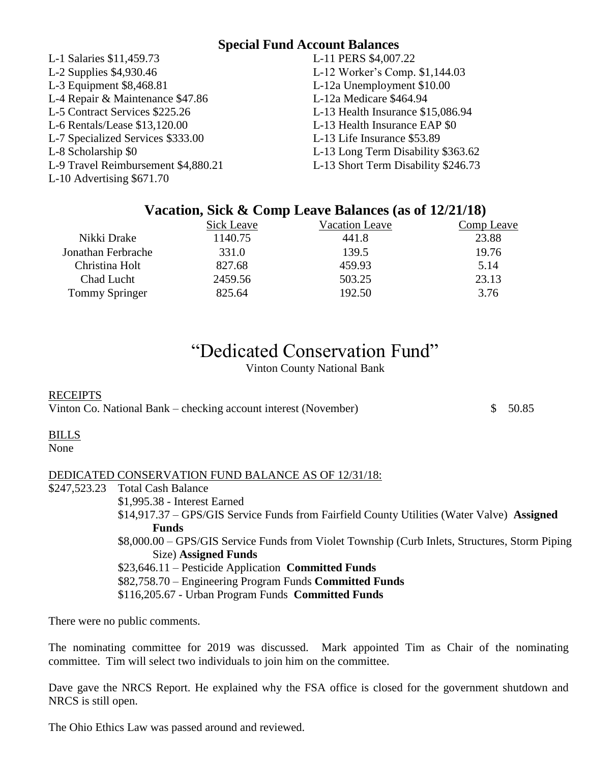## **Special Fund Account Balances**

| L-1 Salaries \$11,459.73            | L-11 PERS \$4,007.22                |
|-------------------------------------|-------------------------------------|
| L-2 Supplies \$4,930.46             | L-12 Worker's Comp. \$1,144.03      |
| L-3 Equipment \$8,468.81            | L-12a Unemployment \$10.00          |
| L-4 Repair & Maintenance \$47.86    | L-12a Medicare \$464.94             |
| L-5 Contract Services \$225.26      | L-13 Health Insurance \$15,086.94   |
| L-6 Rentals/Lease \$13,120.00       | L-13 Health Insurance EAP \$0       |
| L-7 Specialized Services \$333.00   | L-13 Life Insurance \$53.89         |
| L-8 Scholarship \$0                 | L-13 Long Term Disability \$363.62  |
| L-9 Travel Reimbursement \$4,880.21 | L-13 Short Term Disability \$246.73 |
| L-10 Advertising $$671.70$          |                                     |
|                                     |                                     |

# **Vacation, Sick & Comp Leave Balances (as of 12/21/18)**

|                       | Sick Leave | <b>Vacation Leave</b> | Comp Leave |
|-----------------------|------------|-----------------------|------------|
| Nikki Drake           | 1140.75    | 441.8                 | 23.88      |
| Jonathan Ferbrache    | 331.0      | 139.5                 | 19.76      |
| Christina Holt        | 827.68     | 459.93                | 5.14       |
| Chad Lucht            | 2459.56    | 503.25                | 23.13      |
| <b>Tommy Springer</b> | 825.64     | 192.50                | 3.76       |

# "Dedicated Conservation Fund"

Vinton County National Bank

#### **RECEIPTS**

Vinton Co. National Bank – checking account interest (November)  $\qquad$  \$ 50.85

## BILLS

None

## DEDICATED CONSERVATION FUND BALANCE AS OF 12/31/18:

\$247,523.23 Total Cash Balance

\$1,995.38 - Interest Earned \$14,917.37 – GPS/GIS Service Funds from Fairfield County Utilities (Water Valve) **Assigned Funds** \$8,000.00 – GPS/GIS Service Funds from Violet Township (Curb Inlets, Structures, Storm Piping Size) **Assigned Funds** \$23,646.11 – Pesticide Application **Committed Funds** \$82,758.70 – Engineering Program Funds **Committed Funds** \$116,205.67 - Urban Program Funds **Committed Funds**

There were no public comments.

The nominating committee for 2019 was discussed. Mark appointed Tim as Chair of the nominating committee. Tim will select two individuals to join him on the committee.

Dave gave the NRCS Report. He explained why the FSA office is closed for the government shutdown and NRCS is still open.

The Ohio Ethics Law was passed around and reviewed.